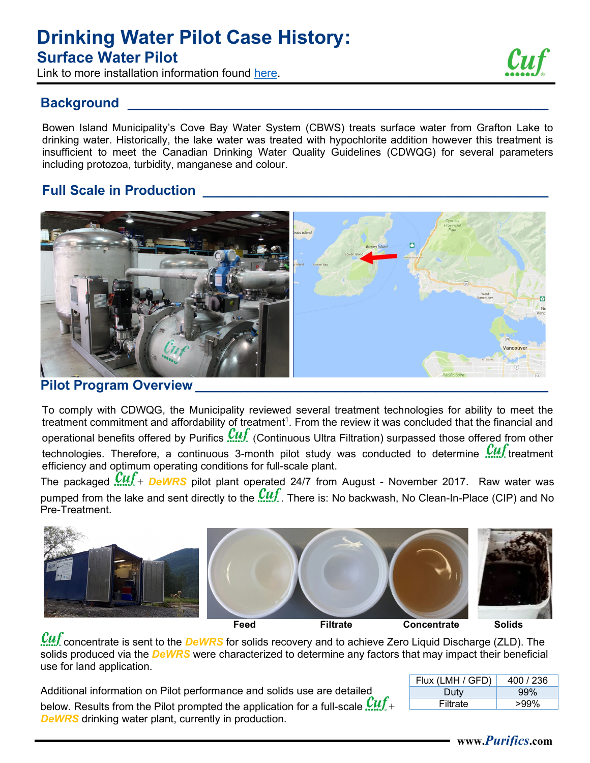# **Drinking Water Pilot Case History: Surface Water Pilot**

Link to more installation information found [here.](https://www.bowenislandmunicipality.ca/cove-bay-water-treatment-plant)

#### **Background**

Bowen Island Municipality's Cove Bay Water System (CBWS) treats surface water from Grafton Lake to drinking water. Historically, the lake water was treated with hypochlorite addition however this treatment is insufficient to meet the Canadian Drinking Water Quality Guidelines (CDWQG) for several parameters including protozoa, turbidity, manganese and colour.

## **Full Scale in Production \_\_\_\_\_\_\_\_\_\_\_\_\_\_\_\_\_\_\_\_\_\_\_\_\_\_\_\_\_\_\_\_\_\_\_\_\_\_\_\_\_\_\_\_\_\_**



**Pilot Program Overview \_\_\_\_\_\_\_\_\_\_\_\_\_\_\_\_\_\_\_\_\_\_\_\_\_\_\_\_\_\_\_\_\_\_\_\_\_\_\_\_\_\_\_\_\_\_\_**

To comply with CDWQG, the Municipality reviewed several treatment technologies for ability to meet the treatment commitment and affordability of treatment<sup>1</sup>. From the review it was concluded that the financial and operational benefits offered by Purifics  $\mathcal{C}\mathcal{U}\mathcal{F}$  (Continuous Ultra Filtration) surpassed those offered from other technologies. Therefore, a continuous 3-month pilot study was conducted to determine  $\mathcal{Cut}$  treatment efficiency and optimum operating conditions for full-scale plant.

The packaged  $\mathcal{C}\mathcal{U}\mathcal{f}$  + *DeWRS* pilot plant operated 24/7 from August - November 2017. Raw water was pumped from the lake and sent directly to the  $\mathcal{Cut}$ . There is: No backwash, No Clean-In-Place (CIP) and No Pre-Treatment.



concentrate is sent to the *DeWRS* for solids recovery and to achieve Zero Liquid Discharge (ZLD). The solids produced via the *DeWRS* were characterized to determine any factors that may impact their beneficial use for land application.

| Additional information on Pilot performance and solids use are detailed                                       |
|---------------------------------------------------------------------------------------------------------------|
| below. Results from the Pilot prompted the application for a full-scale $\mathop{\mathit{Cutf}}\nolimits_* +$ |
| <b>DeWRS</b> drinking water plant, currently in production.                                                   |

| Flux (LMH / GFD) | 400 / 236 |
|------------------|-----------|
| Duty             | 99%       |
| Filtrate         | >99%      |